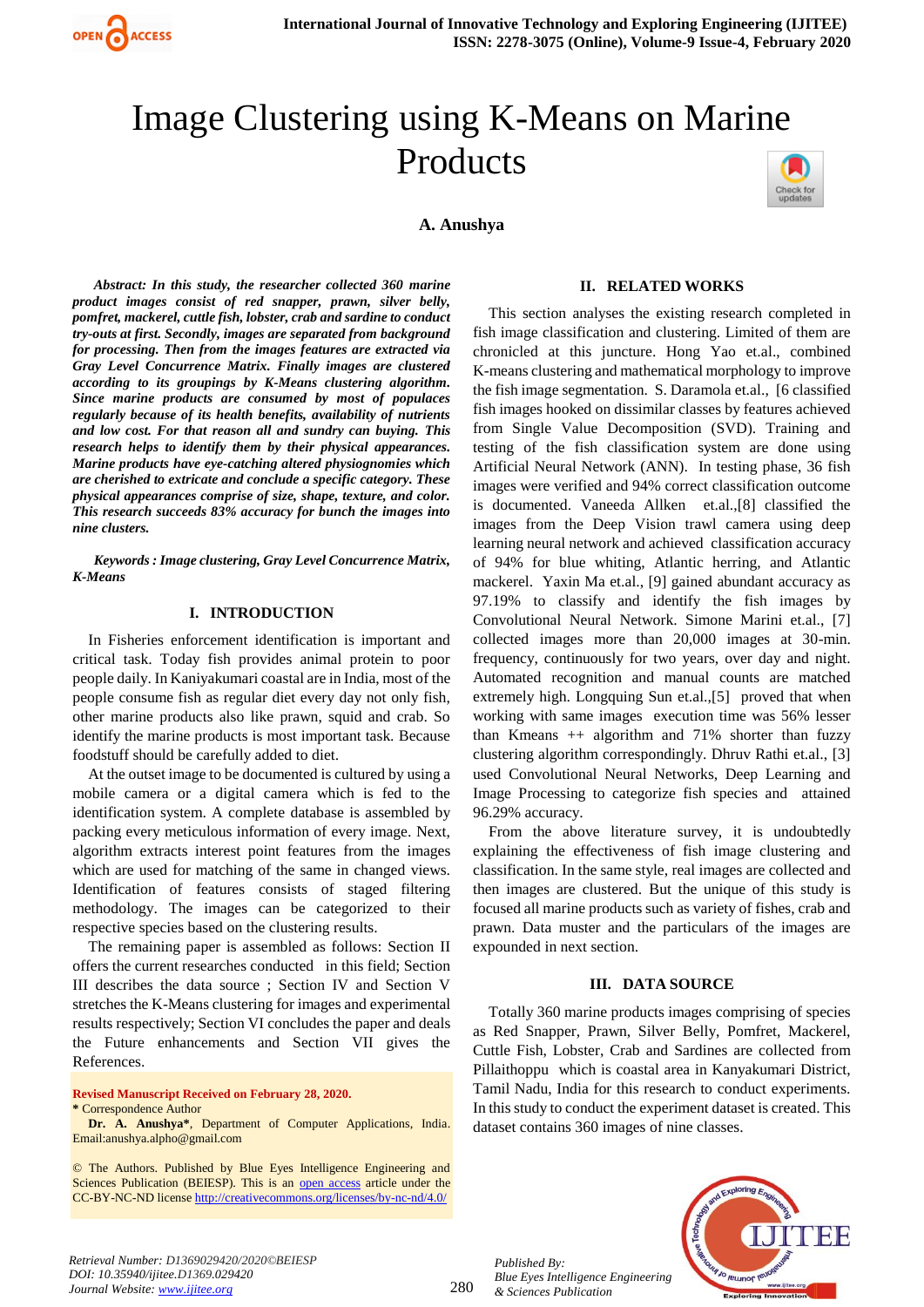

# Image Clustering using K-Means on Marine Products

**A. Anushya**



*Abstract: In this study, the researcher collected 360 marine product images consist of red snapper, prawn, silver belly, pomfret, mackerel, cuttle fish, lobster, crab and sardine to conduct try-outs at first. Secondly, images are separated from background for processing. Then from the images features are extracted via Gray Level Concurrence Matrix. Finally images are clustered according to its groupings by K-Means clustering algorithm. Since marine products are consumed by most of populaces regularly because of its health benefits, availability of nutrients and low cost. For that reason all and sundry can buying. This research helps to identify them by their physical appearances. Marine products have eye-catching altered physiognomies which are cherished to extricate and conclude a specific category. These physical appearances comprise of size, shape, texture, and color. This research succeeds 83% accuracy for bunch the images into nine clusters.*

*Keywords : Image clustering, Gray Level Concurrence Matrix, K-Means*

#### **I. INTRODUCTION**

In Fisheries enforcement identification is important and critical task. Today fish provides animal protein to poor people daily. In Kaniyakumari coastal are in India, most of the people consume fish as regular diet every day not only fish, other marine products also like prawn, squid and crab. So identify the marine products is most important task. Because foodstuff should be carefully added to diet.

At the outset image to be documented is cultured by using a mobile camera or a digital camera which is fed to the identification system. A complete database is assembled by packing every meticulous information of every image. Next, algorithm extracts interest point features from the images which are used for matching of the same in changed views. Identification of features consists of staged filtering methodology. The images can be categorized to their respective species based on the clustering results.

The remaining paper is assembled as follows: Section II offers the current researches conducted in this field; Section III describes the data source ; Section IV and Section V stretches the K-Means clustering for images and experimental results respectively; Section VI concludes the paper and deals the Future enhancements and Section VII gives the References.

#### **Revised Manuscript Received on February 28, 2020. \*** Correspondence Author

**Dr. A. Anushya\***, Department of Computer Applications, India. Email:anushya.alpho@gmail.com

© The Authors. Published by Blue Eyes Intelligence Engineering and Sciences Publication (BEIESP). This is an [open access](https://www.openaccess.nl/en/open-publications) article under the CC-BY-NC-ND licens[e http://creativecommons.org/licenses/by-nc-nd/4.0/](http://creativecommons.org/licenses/by-nc-nd/4.0/)

#### **II. RELATED WORKS**

This section analyses the existing research completed in fish image classification and clustering. Limited of them are chronicled at this juncture. Hong Yao et.al., combined K-means clustering and mathematical morphology to improve the fish image segmentation. S. Daramola et.al., [6 classified fish images hooked on dissimilar classes by features achieved from Single Value Decomposition (SVD). Training and testing of the fish classification system are done using Artificial Neural Network (ANN). In testing phase, 36 fish images were verified and 94% correct classification outcome is documented. Vaneeda Allken et.al.,[8] classified the images from the Deep Vision trawl camera using deep learning neural network and achieved classification accuracy of 94% for blue whiting, Atlantic herring, and Atlantic mackerel. Yaxin Ma et.al., [9] gained abundant accuracy as 97.19% to classify and identify the fish images by Convolutional Neural Network. Simone Marini et.al., [7] collected images more than 20,000 images at 30-min. frequency, continuously for two years, over day and night. Automated recognition and manual counts are matched extremely high. Longquing Sun et.al.,[5] proved that when working with same images execution time was 56% lesser than Kmeans  $++$  algorithm and 71% shorter than fuzzy clustering algorithm correspondingly. Dhruv Rathi et.al., [3] used Convolutional Neural Networks, Deep Learning and Image Processing to categorize fish species and attained 96.29% accuracy.

From the above literature survey, it is undoubtedly explaining the effectiveness of fish image clustering and classification. In the same style, real images are collected and then images are clustered. But the unique of this study is focused all marine products such as variety of fishes, crab and prawn. Data muster and the particulars of the images are expounded in next section.

### **III. DATA SOURCE**

Totally 360 marine products images comprising of species as Red Snapper, Prawn, Silver Belly, Pomfret, Mackerel, Cuttle Fish, Lobster, Crab and Sardines are collected from Pillaithoppu which is coastal area in Kanyakumari District, Tamil Nadu, India for this research to conduct experiments. In this study to conduct the experiment dataset is created. This dataset contains 360 images of nine classes.

*Published By: Blue Eyes Intelligence Engineering & Sciences Publication*



*Retrieval Number: D1369029420/2020©BEIESP DOI: 10.35940/ijitee.D1369.029420 Journal Website: www.ijitee.org*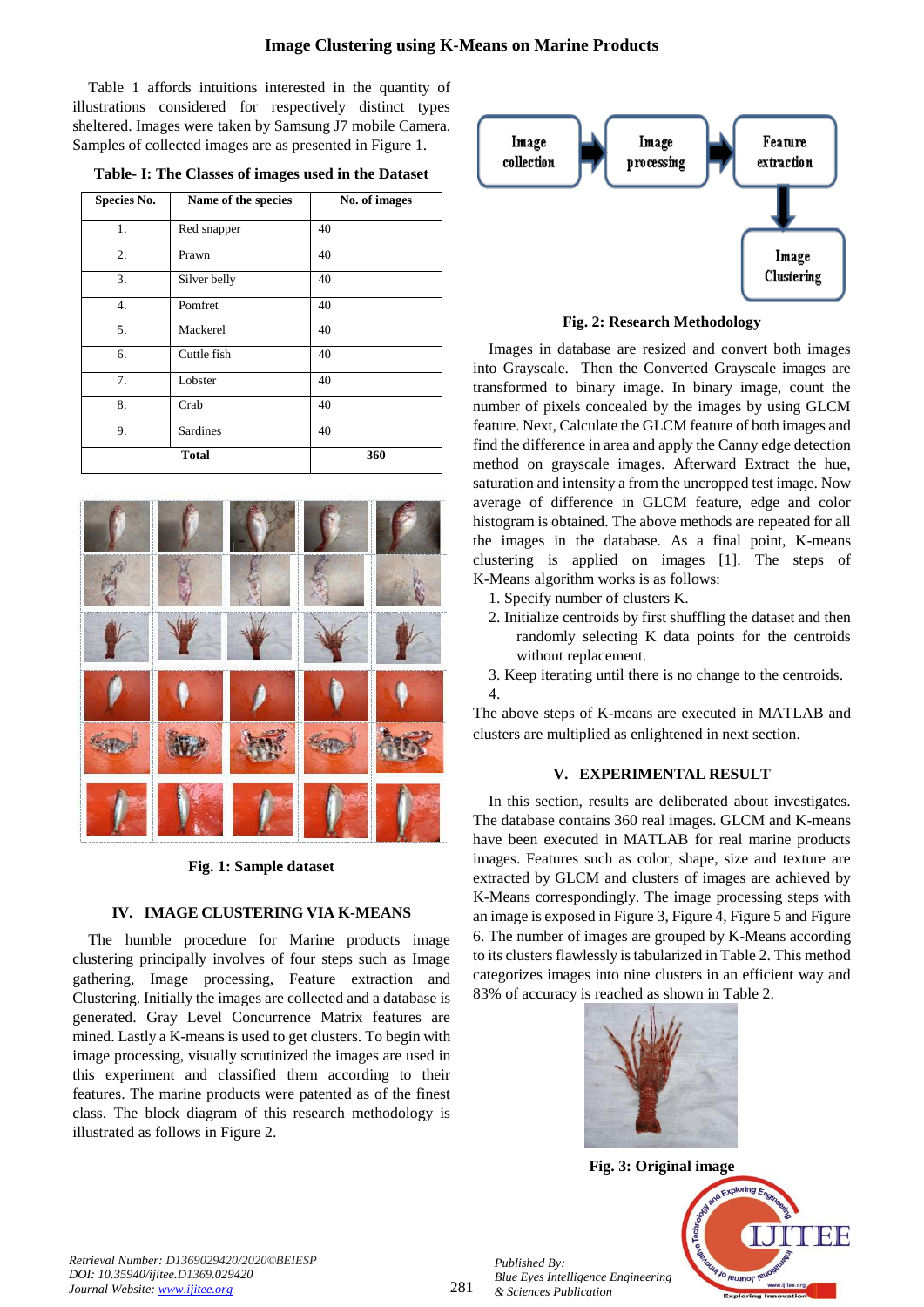Table 1 affords intuitions interested in the quantity of illustrations considered for respectively distinct types sheltered. Images were taken by Samsung J7 mobile Camera. Samples of collected images are as presented in Figure 1.

**Table- I: The Classes of images used in the Dataset**

| Species No.      | Name of the species | No. of images |
|------------------|---------------------|---------------|
| 1.               | Red snapper         | 40            |
| 2.               | Prawn               | 40            |
| 3.               | Silver belly        | 40            |
| $\overline{4}$ . | Pomfret             | 40            |
| 5.               | Mackerel            | 40            |
| 6.               | Cuttle fish         | 40            |
| 7.               | Lobster             | 40            |
| 8.               | Crab                | 40            |
| 9.               | Sardines            | 40            |
| <b>Total</b>     |                     | 360           |



**Fig. 1: Sample dataset**

# **IV. IMAGE CLUSTERING VIA K-MEANS**

The humble procedure for Marine products image clustering principally involves of four steps such as Image gathering, Image processing, Feature extraction and Clustering. Initially the images are collected and a database is generated. Gray Level Concurrence Matrix features are mined. Lastly a K-means is used to get clusters. To begin with image processing, visually scrutinized the images are used in this experiment and classified them according to their features. The marine products were patented as of the finest class. The block diagram of this research methodology is illustrated as follows in Figure 2.



**Fig. 2: Research Methodology**

Images in database are resized and convert both images into Grayscale. Then the Converted Grayscale images are transformed to binary image. In binary image, count the number of pixels concealed by the images by using GLCM feature. Next, Calculate the GLCM feature of both images and find the difference in area and apply the Canny edge detection method on grayscale images. Afterward Extract the hue, saturation and intensity a from the uncropped test image. Now average of difference in GLCM feature, edge and color histogram is obtained. The above methods are repeated for all the images in the database. As a final point, K-means clustering is applied on images [1]. The steps of K-Means algorithm works is as follows:

- 1. Specify number of clusters K.
- 2. Initialize centroids by first shuffling the dataset and then randomly selecting K data points for the centroids without replacement.
- 3. Keep iterating until there is no change to the centroids. 4.

The above steps of K-means are executed in MATLAB and clusters are multiplied as enlightened in next section.

# **V. EXPERIMENTAL RESULT**

In this section, results are deliberated about investigates. The database contains 360 real images. GLCM and K-means have been executed in MATLAB for real marine products images. Features such as color, shape, size and texture are extracted by GLCM and clusters of images are achieved by K-Means correspondingly. The image processing steps with an image is exposed in Figure 3, Figure 4, Figure 5 and Figure 6. The number of images are grouped by K-Means according to its clusters flawlessly is tabularized in Table 2. This method categorizes images into nine clusters in an efficient way and 83% of accuracy is reached as shown in Table 2.



**Fig. 3: Original image**



*Retrieval Number: D1369029420/2020©BEIESP DOI: 10.35940/ijitee.D1369.029420 Journal Website: www.ijitee.org*

*Published By:*

*& Sciences Publication*

*Blue Eyes Intelligence Engineering*